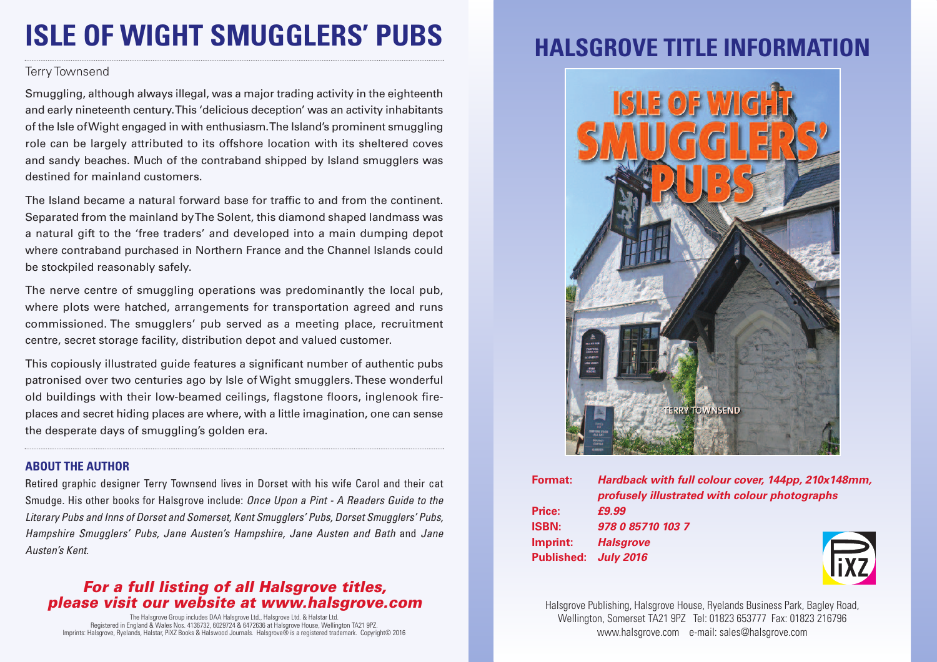# **ISLE OF WIGHT SMUGGLERS' PUBS**

#### Terry Townsend

Smuggling, although always illegal, was a major trading activity in the eighteenth and early nineteenth century.This 'delicious deception' was an activity inhabitants of the Isle ofWight engaged in with enthusiasm.The Island's prominent smuggling role can be largely attributed to its offshore location with its sheltered coves and sandy beaches. Much of the contraband shipped by Island smugglers was destined for mainland customers.

The Island became a natural forward base for traffic to and from the continent. Separated from the mainland byThe Solent, this diamond shaped landmass was a natural gift to the 'free traders' and developed into a main dumping depot where contraband purchased in Northern France and the Channel Islands could be stockpiled reasonably safely.

The nerve centre of smuggling operations was predominantly the local pub, where plots were hatched, arrangements for transportation agreed and runs commissioned. The smugglers' pub served as a meeting place, recruitment centre, secret storage facility, distribution depot and valued customer.

This copiously illustrated guide features a significant number of authentic pubs patronised over two centuries ago by Isle of Wight smugglers.These wonderful old buildings with their low-beamed ceilings, flagstone floors, inglenook fireplaces and secret hiding places are where, with a little imagination, one can sense the desperate days of smuggling's golden era.

### **ABOUT THE AUTHOR**

Retired graphic designer Terry Townsend lives in Dorset with his wife Carol and their cat Smudge. His other books for Halsgrove include: *Once Upon a Pint - A Readers Guide to the Literary Pubs and Inns of Dorset and Somerset, Kent Smugglers' Pubs, Dorset Smugglers' Pubs, Hampshire Smugglers' Pubs, Jane Austen's Hampshire, Jane Austen and Bath* and *Jane Austen's Kent.*

### *For a full listing of all Halsgrove titles, please visit our website at www.halsgrove.com*

The Halsgrove Group includes DAA Halsgrove Ltd., Halsgrove Ltd. & Halstar Ltd. Registered in England & Wales Nos. 4136732, 6029724 & 6472636 at Halsgrove House, Wellington TA21 9PZ. Imprints: Halsgrove, Ryelands, Halstar, PiXZ Books & Halswood Journals. Halsgrove® is a registered trademark. Copyright© 2016

## **HALSGROVE TITLE INFORMATION**



| Format:      | Hardback with full colour cover, 144pp, 210x148mm, |
|--------------|----------------------------------------------------|
|              | profusely illustrated with colour photographs      |
| Price:       | £9.99                                              |
| <b>ISBN:</b> | 978 0 85710 103 7                                  |
| Imprint:     | <b>Halsgrove</b>                                   |
|              | Published: July 2016                               |
|              |                                                    |

Halsgrove Publishing, Halsgrove House, Ryelands Business Park, Bagley Road, Wellington, Somerset TA21 9PZ Tel: 01823 653777 Fax: 01823 216796 www.halsgrove.com e-mail: sales@halsgrove.com